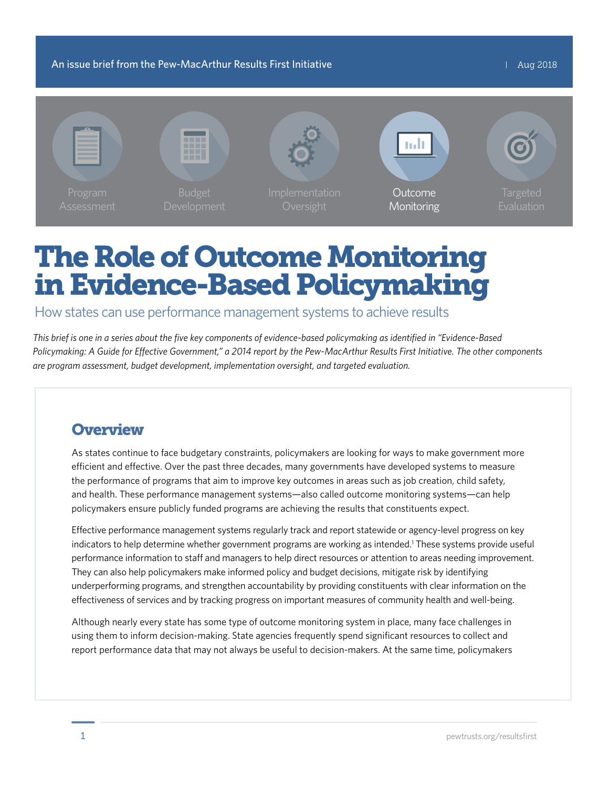An issue brief from the Pew-MacArthur Results First Initiative Aug 2018



# The Role of Outcome Monitoring in Evidence-Based Policymaking

How states can use performance management systems to achieve results

*This brief is one in a series about the five key components of evidence-based policymaking as identified in "Evidence-Based Policymaking: A Guide for Effective Government," a 2014 report by the Pew-MacArthur Results First Initiative. The other components are program assessment, budget development, implementation oversight, and targeted evaluation.*

# **Overview**

As states continue to face budgetary constraints, policymakers are looking for ways to make government more efficient and effective. Over the past three decades, many governments have developed systems to measure the performance of programs that aim to improve key outcomes in areas such as job creation, child safety, and health. These performance management systems—also called outcome monitoring systems—can help policymakers ensure publicly funded programs are achieving the results that constituents expect.

Effective performance management systems regularly track and report statewide or agency-level progress on key indicators to help determine whether government programs are working as intended.<sup>1</sup> These systems provide useful performance information to staff and managers to help direct resources or attention to areas needing improvement. They can also help policymakers make informed policy and budget decisions, mitigate risk by identifying underperforming programs, and strengthen accountability by providing constituents with clear information on the effectiveness of services and by tracking progress on important measures of community health and well-being.

Although nearly every state has some type of outcome monitoring system in place, many face challenges in using them to inform decision-making. State agencies frequently spend significant resources to collect and report performance data that may not always be useful to decision-makers. At the same time, policymakers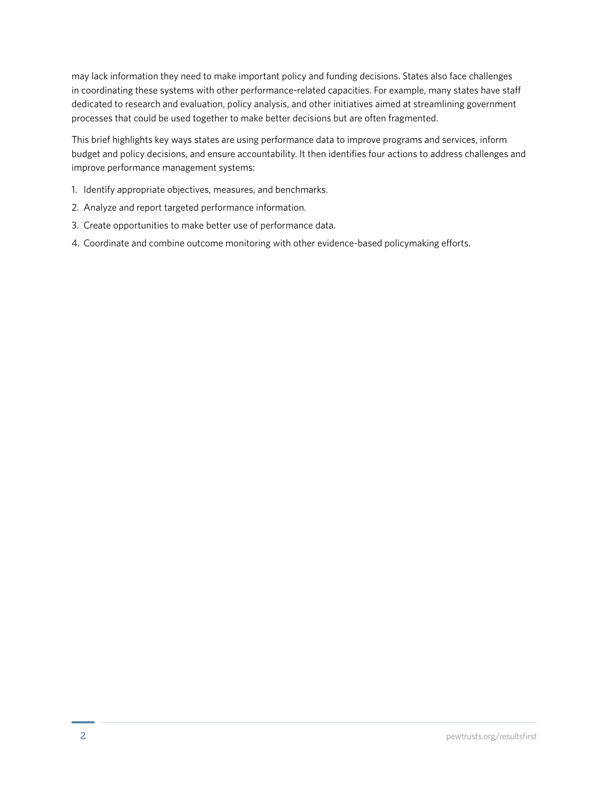may lack information they need to make important policy and funding decisions. States also face challenges in coordinating these systems with other performance-related capacities. For example, many states have staff dedicated to research and evaluation, policy analysis, and other initiatives aimed at streamlining government processes that could be used together to make better decisions but are often fragmented.

This brief highlights key ways states are using performance data to improve programs and services, inform budget and policy decisions, and ensure accountability. It then identifies four actions to address challenges and improve performance management systems:

- 1. Identify appropriate objectives, measures, and benchmarks.
- 2. Analyze and report targeted performance information.
- 3. Create opportunities to make better use of performance data.
- 4. Coordinate and combine outcome monitoring with other evidence-based policymaking efforts.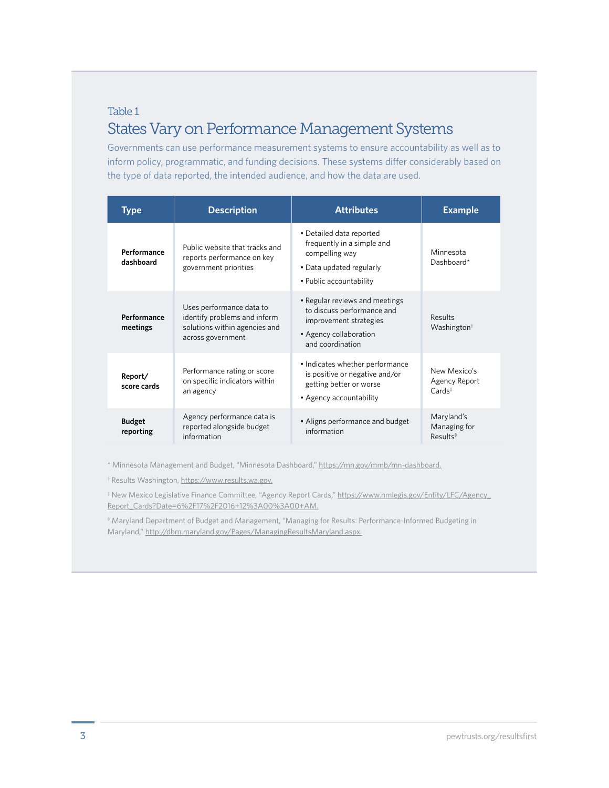#### Table 1

## States Vary on Performance Management Systems

Governments can use performance measurement systems to ensure accountability as well as to inform policy, programmatic, and funding decisions. These systems differ considerably based on the type of data reported, the intended audience, and how the data are used.

| Type                       | <b>Description</b>                                                                                             | <b>Attributes</b>                                                                                                                    | <b>Example</b>                                     |
|----------------------------|----------------------------------------------------------------------------------------------------------------|--------------------------------------------------------------------------------------------------------------------------------------|----------------------------------------------------|
| Performance<br>dashboard   | Public website that tracks and<br>reports performance on key<br>government priorities                          | • Detailed data reported<br>frequently in a simple and<br>compelling way<br>• Data updated regularly<br>• Public accountability      | Minnesota<br>Dashboard*                            |
| Performance<br>meetings    | Uses performance data to<br>identify problems and inform<br>solutions within agencies and<br>across government | • Regular reviews and meetings<br>to discuss performance and<br>improvement strategies<br>• Agency collaboration<br>and coordination | Results<br>Washington <sup>†</sup>                 |
| Report/<br>score cards     | Performance rating or score<br>on specific indicators within<br>an agency                                      | • Indicates whether performance<br>is positive or negative and/or<br>getting better or worse<br>• Agency accountability              | New Mexico's<br>Agency Report<br>$Cards^*$         |
| <b>Budget</b><br>reporting | Agency performance data is<br>reported alongside budget<br>information                                         | • Aligns performance and budget<br>information                                                                                       | Maryland's<br>Managing for<br>Results <sup>§</sup> |

\* Minnesota Management and Budget, "Minnesota Dashboard," https://mn.gov/mmb/mn-dashboard.

† Results Washington, https://www.results.wa.gov.

‡ New Mexico Legislative Finance Committee, "Agency Report Cards," https://www.nmlegis.gov/Entity/LFC/Agency\_ Report\_Cards?Date=6%2F17%2F2016+12%3A00%3A00+AM.

§ Maryland Department of Budget and Management, "Managing for Results: Performance-Informed Budgeting in Maryland," http://dbm.maryland.gov/Pages/ManagingResultsMaryland.aspx.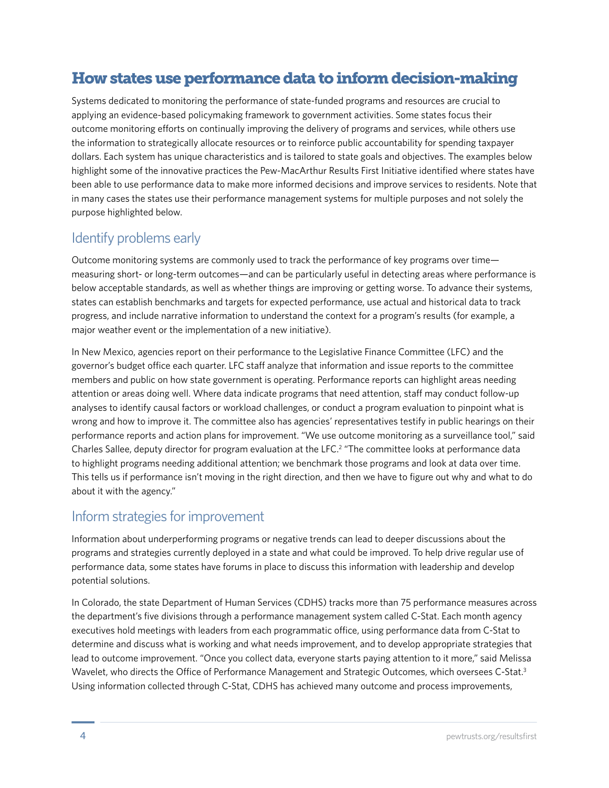# How states use performance data to inform decision-making

Systems dedicated to monitoring the performance of state-funded programs and resources are crucial to applying an evidence-based policymaking framework to government activities. Some states focus their outcome monitoring efforts on continually improving the delivery of programs and services, while others use the information to strategically allocate resources or to reinforce public accountability for spending taxpayer dollars. Each system has unique characteristics and is tailored to state goals and objectives. The examples below highlight some of the innovative practices the Pew-MacArthur Results First Initiative identified where states have been able to use performance data to make more informed decisions and improve services to residents. Note that in many cases the states use their performance management systems for multiple purposes and not solely the purpose highlighted below.

### Identify problems early

Outcome monitoring systems are commonly used to track the performance of key programs over time measuring short- or long-term outcomes—and can be particularly useful in detecting areas where performance is below acceptable standards, as well as whether things are improving or getting worse. To advance their systems, states can establish benchmarks and targets for expected performance, use actual and historical data to track progress, and include narrative information to understand the context for a program's results (for example, a major weather event or the implementation of a new initiative).

In New Mexico, agencies report on their performance to the Legislative Finance Committee (LFC) and the governor's budget office each quarter. LFC staff analyze that information and issue reports to the committee members and public on how state government is operating. Performance reports can highlight areas needing attention or areas doing well. Where data indicate programs that need attention, staff may conduct follow-up analyses to identify causal factors or workload challenges, or conduct a program evaluation to pinpoint what is wrong and how to improve it. The committee also has agencies' representatives testify in public hearings on their performance reports and action plans for improvement. "We use outcome monitoring as a surveillance tool," said Charles Sallee, deputy director for program evaluation at the LFC.<sup>2</sup> "The committee looks at performance data to highlight programs needing additional attention; we benchmark those programs and look at data over time. This tells us if performance isn't moving in the right direction, and then we have to figure out why and what to do about it with the agency."

### Inform strategies for improvement

Information about underperforming programs or negative trends can lead to deeper discussions about the programs and strategies currently deployed in a state and what could be improved. To help drive regular use of performance data, some states have forums in place to discuss this information with leadership and develop potential solutions.

In Colorado, the state Department of Human Services (CDHS) tracks more than 75 performance measures across the department's five divisions through a performance management system called C-Stat. Each month agency executives hold meetings with leaders from each programmatic office, using performance data from C-Stat to determine and discuss what is working and what needs improvement, and to develop appropriate strategies that lead to outcome improvement. "Once you collect data, everyone starts paying attention to it more," said Melissa Wavelet, who directs the Office of Performance Management and Strategic Outcomes, which oversees C-Stat.<sup>3</sup> Using information collected through C-Stat, CDHS has achieved many outcome and process improvements,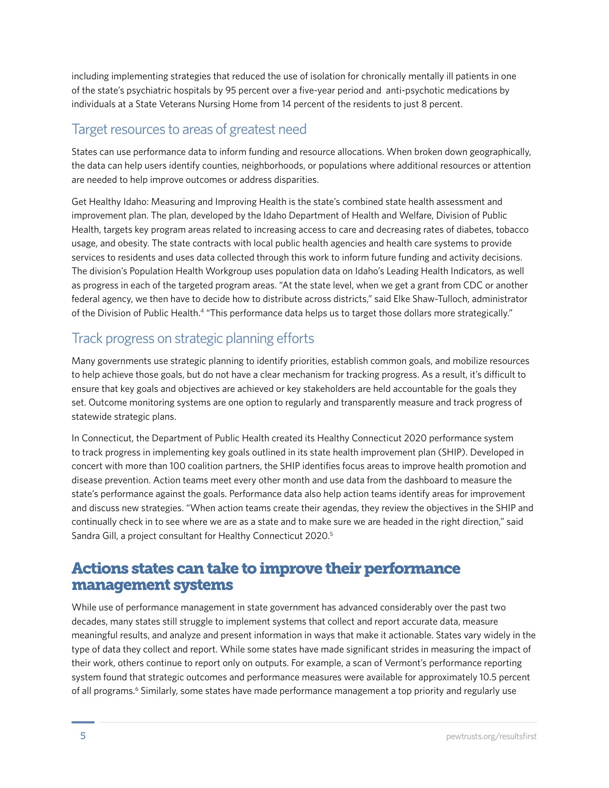including implementing strategies that reduced the use of isolation for chronically mentally ill patients in one of the state's psychiatric hospitals by 95 percent over a five-year period and anti-psychotic medications by individuals at a State Veterans Nursing Home from 14 percent of the residents to just 8 percent.

### Target resources to areas of greatest need

States can use performance data to inform funding and resource allocations. When broken down geographically, the data can help users identify counties, neighborhoods, or populations where additional resources or attention are needed to help improve outcomes or address disparities.

Get Healthy Idaho: Measuring and Improving Health is the state's combined state health assessment and improvement plan. The plan, developed by the Idaho Department of Health and Welfare, Division of Public Health, targets key program areas related to increasing access to care and decreasing rates of diabetes, tobacco usage, and obesity. The state contracts with local public health agencies and health care systems to provide services to residents and uses data collected through this work to inform future funding and activity decisions. The division's Population Health Workgroup uses population data on Idaho's Leading Health Indicators, as well as progress in each of the targeted program areas. "At the state level, when we get a grant from CDC or another federal agency, we then have to decide how to distribute across districts," said Elke Shaw-Tulloch, administrator of the Division of Public Health.4 "This performance data helps us to target those dollars more strategically."

# Track progress on strategic planning efforts

Many governments use strategic planning to identify priorities, establish common goals, and mobilize resources to help achieve those goals, but do not have a clear mechanism for tracking progress. As a result, it's difficult to ensure that key goals and objectives are achieved or key stakeholders are held accountable for the goals they set. Outcome monitoring systems are one option to regularly and transparently measure and track progress of statewide strategic plans.

In Connecticut, the Department of Public Health created its Healthy Connecticut 2020 performance system to track progress in implementing key goals outlined in its state health improvement plan (SHIP). Developed in concert with more than 100 coalition partners, the SHIP identifies focus areas to improve health promotion and disease prevention. Action teams meet every other month and use data from the dashboard to measure the state's performance against the goals. Performance data also help action teams identify areas for improvement and discuss new strategies. "When action teams create their agendas, they review the objectives in the SHIP and continually check in to see where we are as a state and to make sure we are headed in the right direction," said Sandra Gill, a project consultant for Healthy Connecticut 2020.<sup>5</sup>

# Actions states can take to improve their performance management systems

While use of performance management in state government has advanced considerably over the past two decades, many states still struggle to implement systems that collect and report accurate data, measure meaningful results, and analyze and present information in ways that make it actionable. States vary widely in the type of data they collect and report. While some states have made significant strides in measuring the impact of their work, others continue to report only on outputs. For example, a scan of Vermont's performance reporting system found that strategic outcomes and performance measures were available for approximately 10.5 percent of all programs.<sup>6</sup> Similarly, some states have made performance management a top priority and regularly use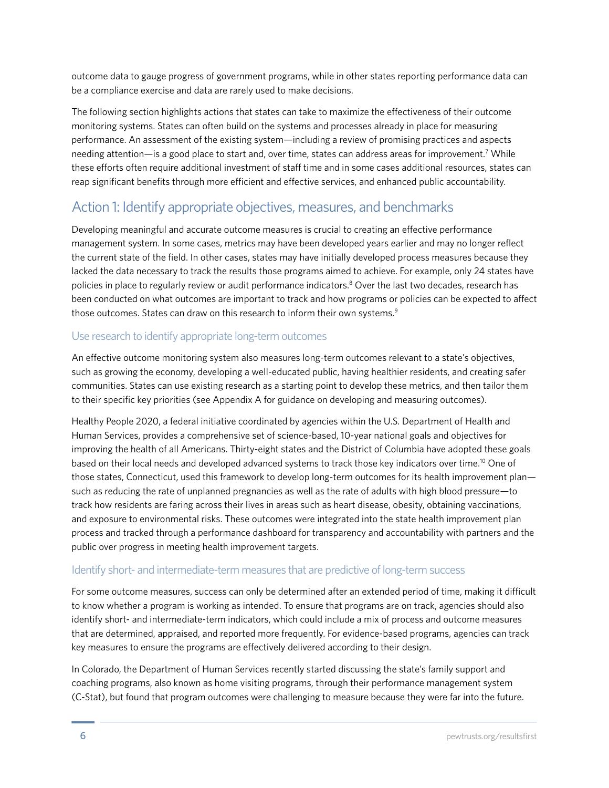outcome data to gauge progress of government programs, while in other states reporting performance data can be a compliance exercise and data are rarely used to make decisions.

The following section highlights actions that states can take to maximize the effectiveness of their outcome monitoring systems. States can often build on the systems and processes already in place for measuring performance. An assessment of the existing system—including a review of promising practices and aspects needing attention—is a good place to start and, over time, states can address areas for improvement.7 While these efforts often require additional investment of staff time and in some cases additional resources, states can reap significant benefits through more efficient and effective services, and enhanced public accountability.

### Action 1: Identify appropriate objectives, measures, and benchmarks

Developing meaningful and accurate outcome measures is crucial to creating an effective performance management system. In some cases, metrics may have been developed years earlier and may no longer reflect the current state of the field. In other cases, states may have initially developed process measures because they lacked the data necessary to track the results those programs aimed to achieve. For example, only 24 states have policies in place to regularly review or audit performance indicators.<sup>8</sup> Over the last two decades, research has been conducted on what outcomes are important to track and how programs or policies can be expected to affect those outcomes. States can draw on this research to inform their own systems.<sup>9</sup>

#### Use research to identify appropriate long-term outcomes

An effective outcome monitoring system also measures long-term outcomes relevant to a state's objectives, such as growing the economy, developing a well-educated public, having healthier residents, and creating safer communities. States can use existing research as a starting point to develop these metrics, and then tailor them to their specific key priorities (see Appendix A for guidance on developing and measuring outcomes).

Healthy People 2020, a federal initiative coordinated by agencies within the U.S. Department of Health and Human Services, provides a comprehensive set of science-based, 10-year national goals and objectives for improving the health of all Americans. Thirty-eight states and the District of Columbia have adopted these goals based on their local needs and developed advanced systems to track those key indicators over time.<sup>10</sup> One of those states, Connecticut, used this framework to develop long-term outcomes for its health improvement plan such as reducing the rate of unplanned pregnancies as well as the rate of adults with high blood pressure—to track how residents are faring across their lives in areas such as heart disease, obesity, obtaining vaccinations, and exposure to environmental risks. These outcomes were integrated into the state health improvement plan process and tracked through a performance dashboard for transparency and accountability with partners and the public over progress in meeting health improvement targets.

#### Identify short- and intermediate-term measures that are predictive of long-term success

For some outcome measures, success can only be determined after an extended period of time, making it difficult to know whether a program is working as intended. To ensure that programs are on track, agencies should also identify short- and intermediate-term indicators, which could include a mix of process and outcome measures that are determined, appraised, and reported more frequently. For evidence-based programs, agencies can track key measures to ensure the programs are effectively delivered according to their design.

In Colorado, the Department of Human Services recently started discussing the state's family support and coaching programs, also known as home visiting programs, through their performance management system (C-Stat), but found that program outcomes were challenging to measure because they were far into the future.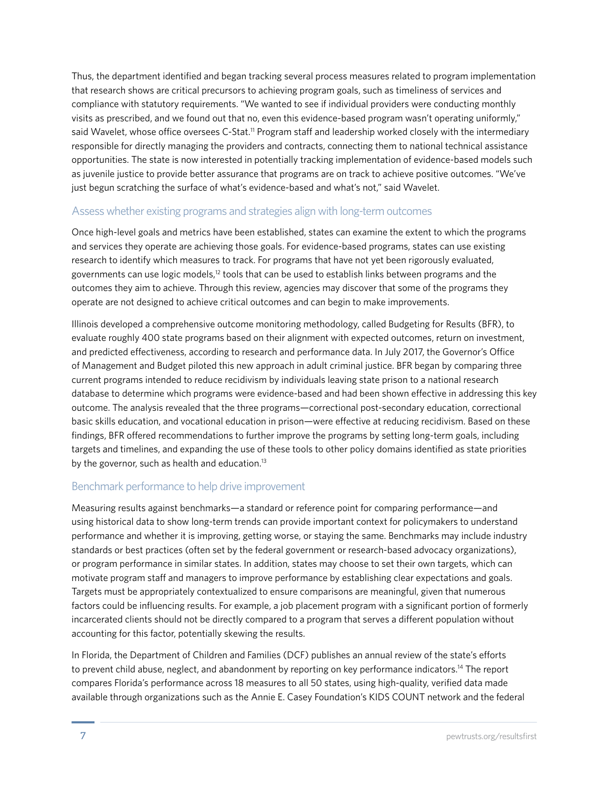Thus, the department identified and began tracking several process measures related to program implementation that research shows are critical precursors to achieving program goals, such as timeliness of services and compliance with statutory requirements. "We wanted to see if individual providers were conducting monthly visits as prescribed, and we found out that no, even this evidence-based program wasn't operating uniformly," said Wavelet, whose office oversees C-Stat.<sup>11</sup> Program staff and leadership worked closely with the intermediary responsible for directly managing the providers and contracts, connecting them to national technical assistance opportunities. The state is now interested in potentially tracking implementation of evidence-based models such as juvenile justice to provide better assurance that programs are on track to achieve positive outcomes. "We've just begun scratching the surface of what's evidence-based and what's not," said Wavelet.

#### Assess whether existing programs and strategies align with long-term outcomes

Once high-level goals and metrics have been established, states can examine the extent to which the programs and services they operate are achieving those goals. For evidence-based programs, states can use existing research to identify which measures to track. For programs that have not yet been rigorously evaluated, governments can use logic models, $12$  tools that can be used to establish links between programs and the outcomes they aim to achieve. Through this review, agencies may discover that some of the programs they operate are not designed to achieve critical outcomes and can begin to make improvements.

Illinois developed a comprehensive outcome monitoring methodology, called Budgeting for Results (BFR), to evaluate roughly 400 state programs based on their alignment with expected outcomes, return on investment, and predicted effectiveness, according to research and performance data. In July 2017, the Governor's Office of Management and Budget piloted this new approach in adult criminal justice. BFR began by comparing three current programs intended to reduce recidivism by individuals leaving state prison to a national research database to determine which programs were evidence-based and had been shown effective in addressing this key outcome. The analysis revealed that the three programs—correctional post-secondary education, correctional basic skills education, and vocational education in prison—were effective at reducing recidivism. Based on these findings, BFR offered recommendations to further improve the programs by setting long-term goals, including targets and timelines, and expanding the use of these tools to other policy domains identified as state priorities by the governor, such as health and education.<sup>13</sup>

#### Benchmark performance to help drive improvement

Measuring results against benchmarks—a standard or reference point for comparing performance—and using historical data to show long-term trends can provide important context for policymakers to understand performance and whether it is improving, getting worse, or staying the same. Benchmarks may include industry standards or best practices (often set by the federal government or research-based advocacy organizations), or program performance in similar states. In addition, states may choose to set their own targets, which can motivate program staff and managers to improve performance by establishing clear expectations and goals. Targets must be appropriately contextualized to ensure comparisons are meaningful, given that numerous factors could be influencing results. For example, a job placement program with a significant portion of formerly incarcerated clients should not be directly compared to a program that serves a different population without accounting for this factor, potentially skewing the results.

In Florida, the Department of Children and Families (DCF) publishes an annual review of the state's efforts to prevent child abuse, neglect, and abandonment by reporting on key performance indicators.14 The report compares Florida's performance across 18 measures to all 50 states, using high-quality, verified data made available through organizations such as the Annie E. Casey Foundation's KIDS COUNT network and the federal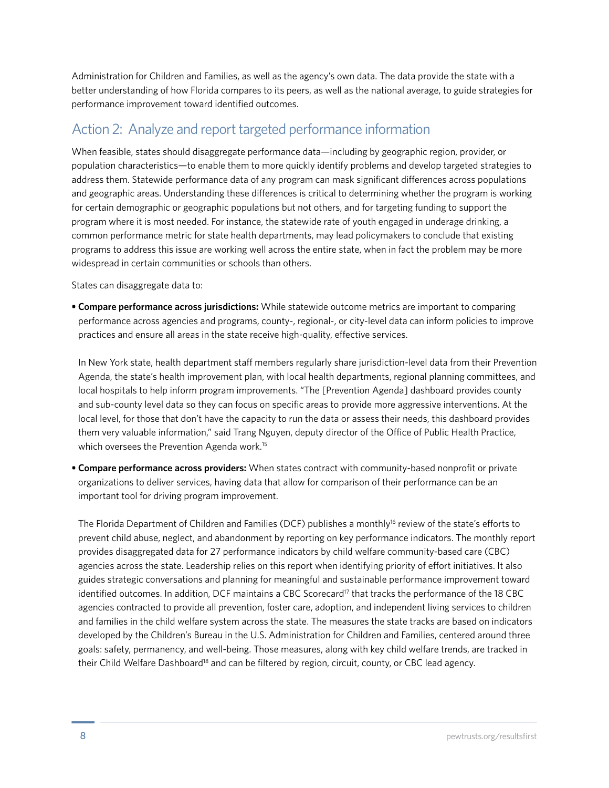Administration for Children and Families, as well as the agency's own data. The data provide the state with a better understanding of how Florida compares to its peers, as well as the national average, to guide strategies for performance improvement toward identified outcomes.

### Action 2: Analyze and report targeted performance information

When feasible, states should disaggregate performance data—including by geographic region, provider, or population characteristics—to enable them to more quickly identify problems and develop targeted strategies to address them. Statewide performance data of any program can mask significant differences across populations and geographic areas. Understanding these differences is critical to determining whether the program is working for certain demographic or geographic populations but not others, and for targeting funding to support the program where it is most needed. For instance, the statewide rate of youth engaged in underage drinking, a common performance metric for state health departments, may lead policymakers to conclude that existing programs to address this issue are working well across the entire state, when in fact the problem may be more widespread in certain communities or schools than others.

States can disaggregate data to:

**• Compare performance across jurisdictions:** While statewide outcome metrics are important to comparing performance across agencies and programs, county-, regional-, or city-level data can inform policies to improve practices and ensure all areas in the state receive high-quality, effective services.

In New York state, health department staff members regularly share jurisdiction-level data from their Prevention Agenda, the state's health improvement plan, with local health departments, regional planning committees, and local hospitals to help inform program improvements. "The [Prevention Agenda] dashboard provides county and sub-county level data so they can focus on specific areas to provide more aggressive interventions. At the local level, for those that don't have the capacity to run the data or assess their needs, this dashboard provides them very valuable information," said Trang Nguyen, deputy director of the Office of Public Health Practice, which oversees the Prevention Agenda work.<sup>15</sup>

**• Compare performance across providers:** When states contract with community-based nonprofit or private organizations to deliver services, having data that allow for comparison of their performance can be an important tool for driving program improvement.

The Florida Department of Children and Families (DCF) publishes a monthly<sup>16</sup> review of the state's efforts to prevent child abuse, neglect, and abandonment by reporting on key performance indicators. The monthly report provides disaggregated data for 27 performance indicators by child welfare community-based care (CBC) agencies across the state. Leadership relies on this report when identifying priority of effort initiatives. It also guides strategic conversations and planning for meaningful and sustainable performance improvement toward identified outcomes. In addition, DCF maintains a CBC Scorecard<sup>17</sup> that tracks the performance of the 18 CBC agencies contracted to provide all prevention, foster care, adoption, and independent living services to children and families in the child welfare system across the state. The measures the state tracks are based on indicators developed by the Children's Bureau in the U.S. Administration for Children and Families, centered around three goals: safety, permanency, and well-being. Those measures, along with key child welfare trends, are tracked in their Child Welfare Dashboard<sup>18</sup> and can be filtered by region, circuit, county, or CBC lead agency.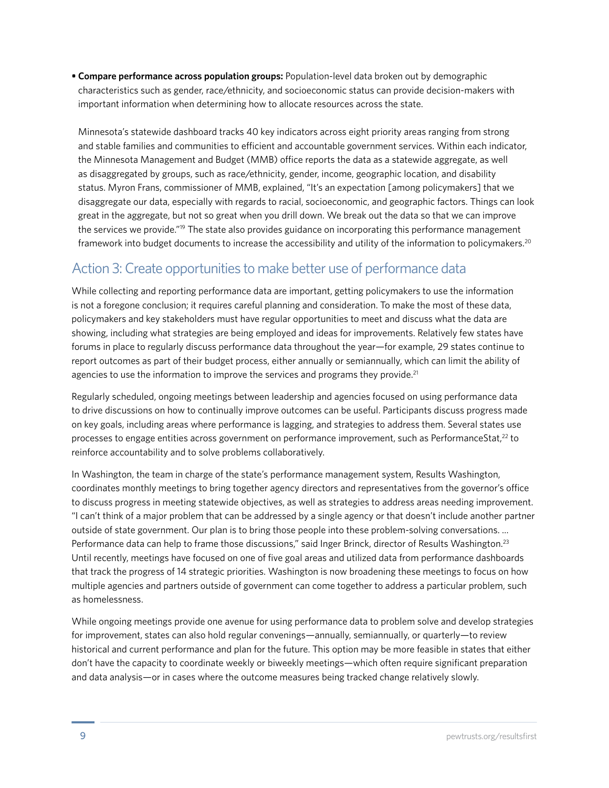**• Compare performance across population groups:** Population-level data broken out by demographic characteristics such as gender, race/ethnicity, and socioeconomic status can provide decision-makers with important information when determining how to allocate resources across the state.

Minnesota's statewide dashboard tracks 40 key indicators across eight priority areas ranging from strong and stable families and communities to efficient and accountable government services. Within each indicator, the Minnesota Management and Budget (MMB) office reports the data as a statewide aggregate, as well as disaggregated by groups, such as race/ethnicity, gender, income, geographic location, and disability status. Myron Frans, commissioner of MMB, explained, "It's an expectation [among policymakers] that we disaggregate our data, especially with regards to racial, socioeconomic, and geographic factors. Things can look great in the aggregate, but not so great when you drill down. We break out the data so that we can improve the services we provide."<sup>19</sup> The state also provides guidance on incorporating this performance management framework into budget documents to increase the accessibility and utility of the information to policymakers.20

## Action 3: Create opportunities to make better use of performance data

While collecting and reporting performance data are important, getting policymakers to use the information is not a foregone conclusion; it requires careful planning and consideration. To make the most of these data, policymakers and key stakeholders must have regular opportunities to meet and discuss what the data are showing, including what strategies are being employed and ideas for improvements. Relatively few states have forums in place to regularly discuss performance data throughout the year—for example, 29 states continue to report outcomes as part of their budget process, either annually or semiannually, which can limit the ability of agencies to use the information to improve the services and programs they provide. $21$ 

Regularly scheduled, ongoing meetings between leadership and agencies focused on using performance data to drive discussions on how to continually improve outcomes can be useful. Participants discuss progress made on key goals, including areas where performance is lagging, and strategies to address them. Several states use processes to engage entities across government on performance improvement, such as PerformanceStat,<sup>22</sup> to reinforce accountability and to solve problems collaboratively.

In Washington, the team in charge of the state's performance management system, Results Washington, coordinates monthly meetings to bring together agency directors and representatives from the governor's office to discuss progress in meeting statewide objectives, as well as strategies to address areas needing improvement. "I can't think of a major problem that can be addressed by a single agency or that doesn't include another partner outside of state government. Our plan is to bring those people into these problem-solving conversations. ... Performance data can help to frame those discussions," said Inger Brinck, director of Results Washington.<sup>23</sup> Until recently, meetings have focused on one of five goal areas and utilized data from performance dashboards that track the progress of 14 strategic priorities. Washington is now broadening these meetings to focus on how multiple agencies and partners outside of government can come together to address a particular problem, such as homelessness.

While ongoing meetings provide one avenue for using performance data to problem solve and develop strategies for improvement, states can also hold regular convenings—annually, semiannually, or quarterly—to review historical and current performance and plan for the future. This option may be more feasible in states that either don't have the capacity to coordinate weekly or biweekly meetings—which often require significant preparation and data analysis—or in cases where the outcome measures being tracked change relatively slowly.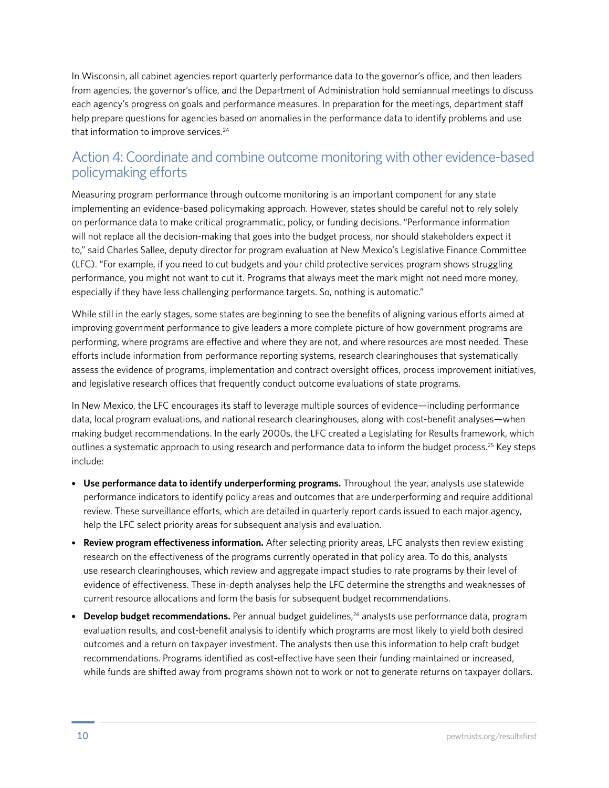In Wisconsin, all cabinet agencies report quarterly performance data to the governor's office, and then leaders from agencies, the governor's office, and the Department of Administration hold semiannual meetings to discuss each agency's progress on goals and performance measures. In preparation for the meetings, department staff help prepare questions for agencies based on anomalies in the performance data to identify problems and use that information to improve services.<sup>24</sup>

### Action 4: Coordinate and combine outcome monitoring with other evidence-based policymaking efforts

Measuring program performance through outcome monitoring is an important component for any state implementing an evidence-based policymaking approach. However, states should be careful not to rely solely on performance data to make critical programmatic, policy, or funding decisions. "Performance information will not replace all the decision-making that goes into the budget process, nor should stakeholders expect it to," said Charles Sallee, deputy director for program evaluation at New Mexico's Legislative Finance Committee (LFC). "For example, if you need to cut budgets and your child protective services program shows struggling performance, you might not want to cut it. Programs that always meet the mark might not need more money, especially if they have less challenging performance targets. So, nothing is automatic."

While still in the early stages, some states are beginning to see the benefits of aligning various efforts aimed at improving government performance to give leaders a more complete picture of how government programs are performing, where programs are effective and where they are not, and where resources are most needed. These efforts include information from performance reporting systems, research clearinghouses that systematically assess the evidence of programs, implementation and contract oversight offices, process improvement initiatives, and legislative research offices that frequently conduct outcome evaluations of state programs.

In New Mexico, the LFC encourages its staff to leverage multiple sources of evidence—including performance data, local program evaluations, and national research clearinghouses, along with cost-benefit analyses—when making budget recommendations. In the early 2000s, the LFC created a Legislating for Results framework, which outlines a systematic approach to using research and performance data to inform the budget process.<sup>25</sup> Key steps include:

- **Use performance data to identify underperforming programs.** Throughout the year, analysts use statewide performance indicators to identify policy areas and outcomes that are underperforming and require additional review. These surveillance efforts, which are detailed in quarterly report cards issued to each major agency, help the LFC select priority areas for subsequent analysis and evaluation.
- **Review program effectiveness information.** After selecting priority areas, LFC analysts then review existing research on the effectiveness of the programs currently operated in that policy area. To do this, analysts use research clearinghouses, which review and aggregate impact studies to rate programs by their level of evidence of effectiveness. These in-depth analyses help the LFC determine the strengths and weaknesses of current resource allocations and form the basis for subsequent budget recommendations.
- **Develop budget recommendations.** Per annual budget guidelines,<sup>26</sup> analysts use performance data, program evaluation results, and cost-benefit analysis to identify which programs are most likely to yield both desired outcomes and a return on taxpayer investment. The analysts then use this information to help craft budget recommendations. Programs identified as cost-effective have seen their funding maintained or increased, while funds are shifted away from programs shown not to work or not to generate returns on taxpayer dollars.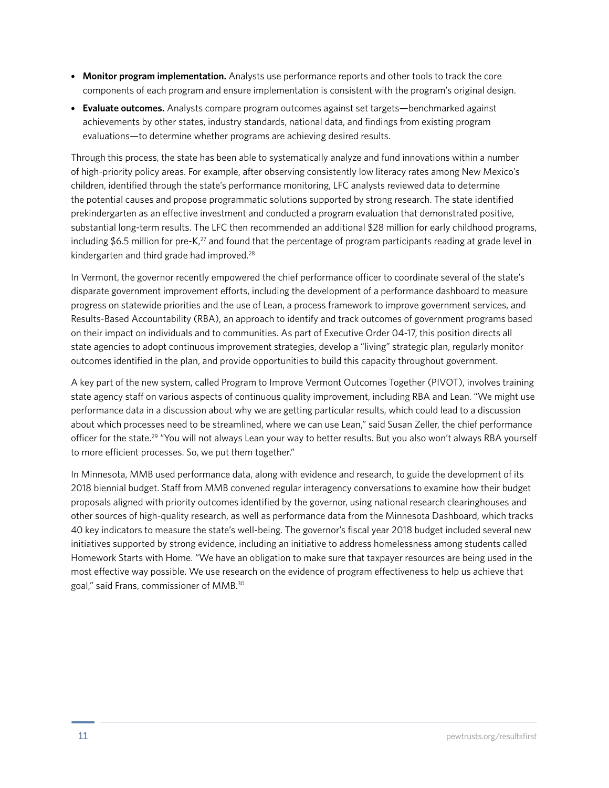- **Monitor program implementation.** Analysts use performance reports and other tools to track the core components of each program and ensure implementation is consistent with the program's original design.
- **Evaluate outcomes.** Analysts compare program outcomes against set targets—benchmarked against achievements by other states, industry standards, national data, and findings from existing program evaluations—to determine whether programs are achieving desired results.

Through this process, the state has been able to systematically analyze and fund innovations within a number of high-priority policy areas. For example, after observing consistently low literacy rates among New Mexico's children, identified through the state's performance monitoring, LFC analysts reviewed data to determine the potential causes and propose programmatic solutions supported by strong research. The state identified prekindergarten as an effective investment and conducted a program evaluation that demonstrated positive, substantial long-term results. The LFC then recommended an additional \$28 million for early childhood programs, including \$6.5 million for pre-K $^{27}$  and found that the percentage of program participants reading at grade level in kindergarten and third grade had improved.<sup>28</sup>

In Vermont, the governor recently empowered the chief performance officer to coordinate several of the state's disparate government improvement efforts, including the development of a performance dashboard to measure progress on statewide priorities and the use of Lean, a process framework to improve government services, and Results-Based Accountability (RBA), an approach to identify and track outcomes of government programs based on their impact on individuals and to communities. As part of Executive Order 04-17, this position directs all state agencies to adopt continuous improvement strategies, develop a "living" strategic plan, regularly monitor outcomes identified in the plan, and provide opportunities to build this capacity throughout government.

A key part of the new system, called Program to Improve Vermont Outcomes Together (PIVOT), involves training state agency staff on various aspects of continuous quality improvement, including RBA and Lean. "We might use performance data in a discussion about why we are getting particular results, which could lead to a discussion about which processes need to be streamlined, where we can use Lean," said Susan Zeller, the chief performance officer for the state.<sup>29</sup> "You will not always Lean your way to better results. But you also won't always RBA yourself to more efficient processes. So, we put them together."

In Minnesota, MMB used performance data, along with evidence and research, to guide the development of its 2018 biennial budget. Staff from MMB convened regular interagency conversations to examine how their budget proposals aligned with priority outcomes identified by the governor, using national research clearinghouses and other sources of high-quality research, as well as performance data from the Minnesota Dashboard, which tracks 40 key indicators to measure the state's well-being. The governor's fiscal year 2018 budget included several new initiatives supported by strong evidence, including an initiative to address homelessness among students called Homework Starts with Home. "We have an obligation to make sure that taxpayer resources are being used in the most effective way possible. We use research on the evidence of program effectiveness to help us achieve that goal," said Frans, commissioner of MMB.30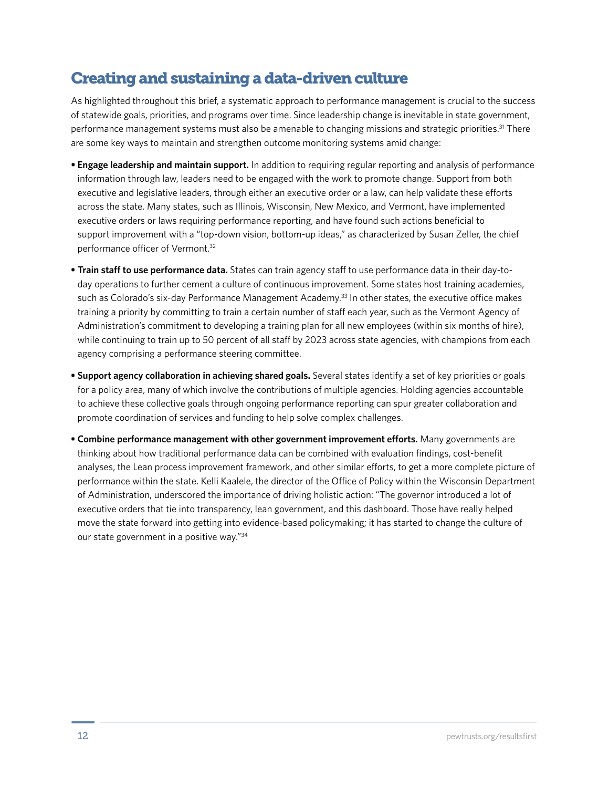# Creating and sustaining a data-driven culture

As highlighted throughout this brief, a systematic approach to performance management is crucial to the success of statewide goals, priorities, and programs over time. Since leadership change is inevitable in state government, performance management systems must also be amenable to changing missions and strategic priorities.<sup>31</sup> There are some key ways to maintain and strengthen outcome monitoring systems amid change:

- **Engage leadership and maintain support.** In addition to requiring regular reporting and analysis of performance information through law, leaders need to be engaged with the work to promote change. Support from both executive and legislative leaders, through either an executive order or a law, can help validate these efforts across the state. Many states, such as Illinois, Wisconsin, New Mexico, and Vermont, have implemented executive orders or laws requiring performance reporting, and have found such actions beneficial to support improvement with a "top-down vision, bottom-up ideas," as characterized by Susan Zeller, the chief performance officer of Vermont.32
- **Train staff to use performance data.** States can train agency staff to use performance data in their day-today operations to further cement a culture of continuous improvement. Some states host training academies, such as Colorado's six-day Performance Management Academy.<sup>33</sup> In other states, the executive office makes training a priority by committing to train a certain number of staff each year, such as the Vermont Agency of Administration's commitment to developing a training plan for all new employees (within six months of hire), while continuing to train up to 50 percent of all staff by 2023 across state agencies, with champions from each agency comprising a performance steering committee.
- **Support agency collaboration in achieving shared goals.** Several states identify a set of key priorities or goals for a policy area, many of which involve the contributions of multiple agencies. Holding agencies accountable to achieve these collective goals through ongoing performance reporting can spur greater collaboration and promote coordination of services and funding to help solve complex challenges.
- **Combine performance management with other government improvement efforts.** Many governments are thinking about how traditional performance data can be combined with evaluation findings, cost-benefit analyses, the Lean process improvement framework, and other similar efforts, to get a more complete picture of performance within the state. Kelli Kaalele, the director of the Office of Policy within the Wisconsin Department of Administration, underscored the importance of driving holistic action: "The governor introduced a lot of executive orders that tie into transparency, lean government, and this dashboard. Those have really helped move the state forward into getting into evidence-based policymaking; it has started to change the culture of our state government in a positive way."34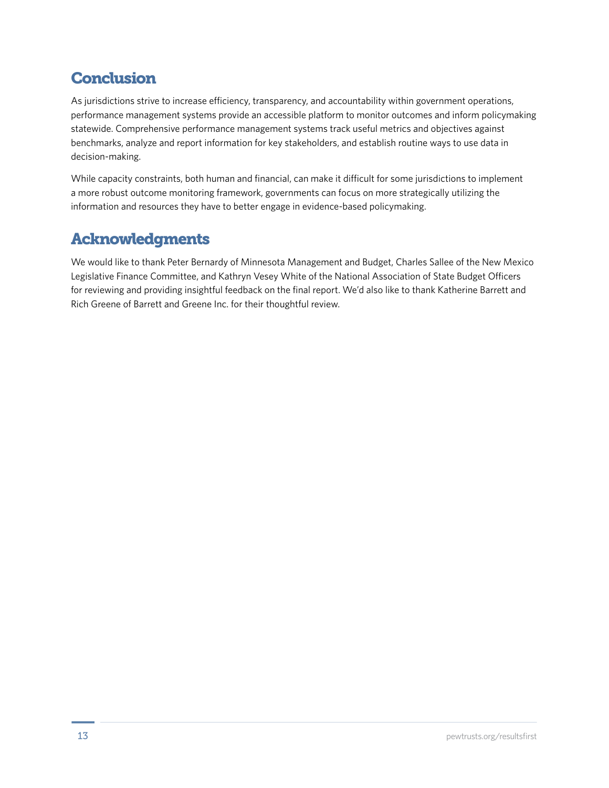# **Conclusion**

As jurisdictions strive to increase efficiency, transparency, and accountability within government operations, performance management systems provide an accessible platform to monitor outcomes and inform policymaking statewide. Comprehensive performance management systems track useful metrics and objectives against benchmarks, analyze and report information for key stakeholders, and establish routine ways to use data in decision-making.

While capacity constraints, both human and financial, can make it difficult for some jurisdictions to implement a more robust outcome monitoring framework, governments can focus on more strategically utilizing the information and resources they have to better engage in evidence-based policymaking.

# Acknowledgments

We would like to thank Peter Bernardy of Minnesota Management and Budget, Charles Sallee of the New Mexico Legislative Finance Committee, and Kathryn Vesey White of the National Association of State Budget Officers for reviewing and providing insightful feedback on the final report. We'd also like to thank Katherine Barrett and Rich Greene of Barrett and Greene Inc. for their thoughtful review.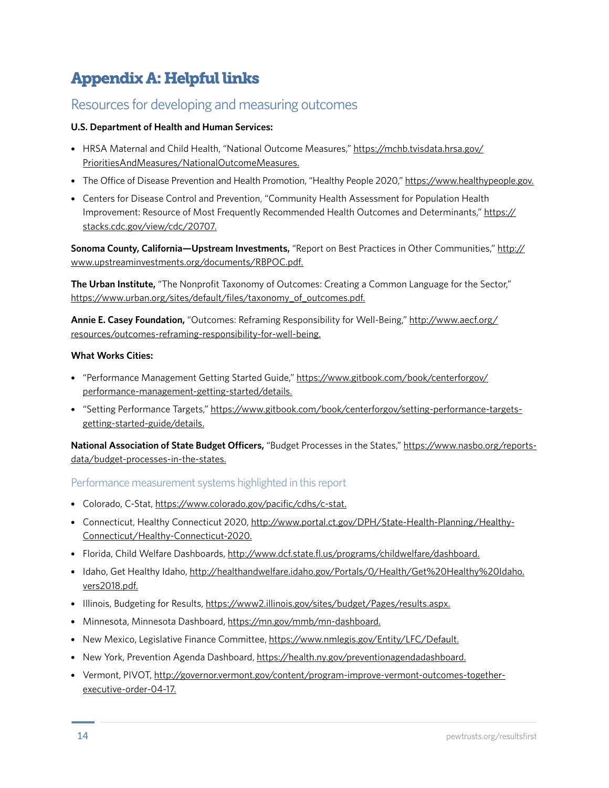# Appendix A: Helpful links

### Resources for developing and measuring outcomes

#### **U.S. Department of Health and Human Services:**

- HRSA Maternal and Child Health, "National Outcome Measures," https://mchb.tvisdata.hrsa.gov/ PrioritiesAndMeasures/NationalOutcomeMeasures.
- The Office of Disease Prevention and Health Promotion, "Healthy People 2020," https://www.healthypeople.gov.
- Centers for Disease Control and Prevention, "Community Health Assessment for Population Health Improvement: Resource of Most Frequently Recommended Health Outcomes and Determinants," https:// stacks.cdc.gov/view/cdc/20707.

**Sonoma County, California—Upstream Investments,** "Report on Best Practices in Other Communities," http:// www.upstreaminvestments.org/documents/RBPOC.pdf.

**The Urban Institute,** "The Nonprofit Taxonomy of Outcomes: Creating a Common Language for the Sector," https://www.urban.org/sites/default/files/taxonomy\_of\_outcomes.pdf.

**Annie E. Casey Foundation,** "Outcomes: Reframing Responsibility for Well-Being," http://www.aecf.org/ resources/outcomes-reframing-responsibility-for-well-being.

#### **What Works Cities:**

- "Performance Management Getting Started Guide," https://www.gitbook.com/book/centerforgov/ performance-management-getting-started/details.
- "Setting Performance Targets," https://www.gitbook.com/book/centerforgov/setting-performance-targetsgetting-started-guide/details.

**National Association of State Budget Officers,** "Budget Processes in the States," https://www.nasbo.org/reportsdata/budget-processes-in-the-states.

#### Performance measurement systems highlighted in this report

- Colorado, C-Stat, https://www.colorado.gov/pacific/cdhs/c-stat.
- Connecticut, Healthy Connecticut 2020, http://www.portal.ct.gov/DPH/State-Health-Planning/Healthy-Connecticut/Healthy-Connecticut-2020.
- Florida, Child Welfare Dashboards, http://www.dcf.state.fl.us/programs/childwelfare/dashboard.
- Idaho, Get Healthy Idaho, http://healthandwelfare.idaho.gov/Portals/0/Health/Get%20Healthy%20Idaho. vers2018.pdf.
- Illinois, Budgeting for Results, https://www2.illinois.gov/sites/budget/Pages/results.aspx.
- Minnesota, Minnesota Dashboard, https://mn.gov/mmb/mn-dashboard.
- New Mexico, Legislative Finance Committee, https://www.nmlegis.gov/Entity/LFC/Default.
- New York, Prevention Agenda Dashboard, https://health.ny.gov/preventionagendadashboard.
- Vermont, PIVOT, http://governor.vermont.gov/content/program-improve-vermont-outcomes-togetherexecutive-order-04-17.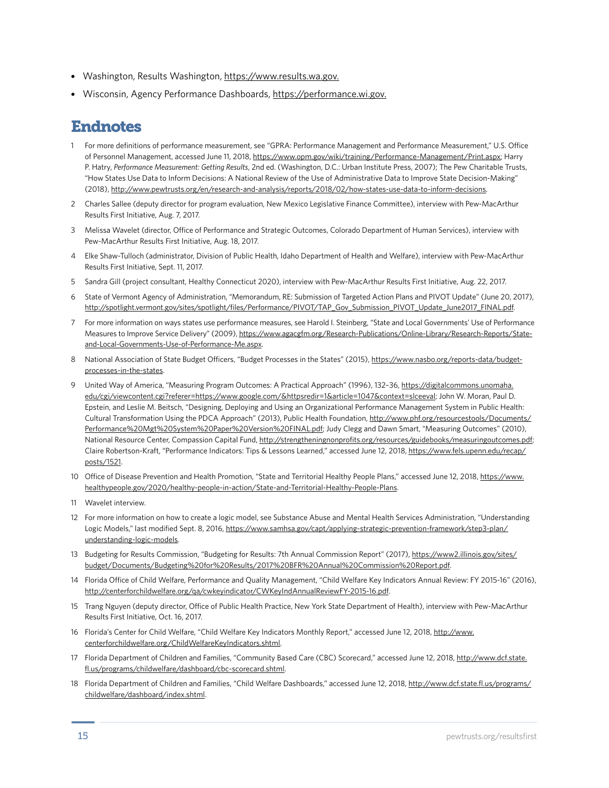- Washington, Results Washington, https://www.results.wa.gov.
- Wisconsin, Agency Performance Dashboards, https://performance.wi.gov.

# Endnotes

- 1 For more definitions of performance measurement, see "GPRA: Performance Management and Performance Measurement," U.S. Office of Personnel Management, accessed June 11, 2018, https://www.opm.gov/wiki/training/Performance-Management/Print.aspx; Harry P. Hatry, *Performance Measurement: Getting Results*, 2nd ed. (Washington, D.C.: Urban Institute Press, 2007); The Pew Charitable Trusts, "How States Use Data to Inform Decisions: A National Review of the Use of Administrative Data to Improve State Decision-Making" (2018), http://www.pewtrusts.org/en/research-and-analysis/reports/2018/02/how-states-use-data-to-inform-decisions.
- 2 Charles Sallee (deputy director for program evaluation, New Mexico Legislative Finance Committee), interview with Pew-MacArthur Results First Initiative, Aug. 7, 2017.
- 3 Melissa Wavelet (director, Office of Performance and Strategic Outcomes, Colorado Department of Human Services), interview with Pew-MacArthur Results First Initiative, Aug. 18, 2017.
- 4 Elke Shaw-Tulloch (administrator, Division of Public Health, Idaho Department of Health and Welfare), interview with Pew-MacArthur Results First Initiative, Sept. 11, 2017.
- 5 Sandra Gill (project consultant, Healthy Connecticut 2020), interview with Pew-MacArthur Results First Initiative, Aug. 22, 2017.
- 6 State of Vermont Agency of Administration, "Memorandum, RE: Submission of Targeted Action Plans and PIVOT Update" (June 20, 2017), http://spotlight.vermont.gov/sites/spotlight/files/Performance/PIVOT/TAP\_Gov\_Submission\_PIVOT\_Update\_June2017\_FINAL.pdf.
- 7 For more information on ways states use performance measures, see Harold I. Steinberg, "State and Local Governments' Use of Performance Measures to Improve Service Delivery" (2009), https://www.agacgfm.org/Research-Publications/Online-Library/Research-Reports/Stateand-Local-Governments-Use-of-Performance-Me.aspx.
- 8 National Association of State Budget Officers, "Budget Processes in the States" (2015), https://www.nasbo.org/reports-data/budgetprocesses-in-the-states.
- 9 United Way of America, "Measuring Program Outcomes: A Practical Approach" (1996), 132–36, https://digitalcommons.unomaha. edu/cgi/viewcontent.cgi?referer=https://www.google.com/&httpsredir=1&article=1047&context=slceeval; John W. Moran, Paul D. Epstein, and Leslie M. Beitsch, "Designing, Deploying and Using an Organizational Performance Management System in Public Health: Cultural Transformation Using the PDCA Approach" (2013), Public Health Foundation, http://www.phf.org/resourcestools/Documents/ Performance%20Mgt%20System%20Paper%20Version%20FINAL.pdf; Judy Clegg and Dawn Smart, "Measuring Outcomes" (2010), National Resource Center, Compassion Capital Fund, http://strengtheningnonprofits.org/resources/guidebooks/measuringoutcomes.pdf; Claire Robertson-Kraft, "Performance Indicators: Tips & Lessons Learned," accessed June 12, 2018, https://www.fels.upenn.edu/recap/ posts/1521.
- 10 Office of Disease Prevention and Health Promotion, "State and Territorial Healthy People Plans," accessed June 12, 2018, https://www. healthypeople.gov/2020/healthy-people-in-action/State-and-Territorial-Healthy-People-Plans.
- 11 Wavelet interview.
- 12 For more information on how to create a logic model, see Substance Abuse and Mental Health Services Administration, "Understanding Logic Models," last modified Sept. 8, 2016, https://www.samhsa.gov/capt/applying-strategic-prevention-framework/step3-plan/ understanding-logic-models.
- 13 Budgeting for Results Commission, "Budgeting for Results: 7th Annual Commission Report" (2017), https://www2.illinois.gov/sites/ budget/Documents/Budgeting%20for%20Results/2017%20BFR%20Annual%20Commission%20Report.pdf.
- 14 Florida Office of Child Welfare, Performance and Quality Management, "Child Welfare Key Indicators Annual Review: FY 2015-16" (2016), http://centerforchildwelfare.org/qa/cwkeyindicator/CWKeyIndAnnualReviewFY-2015-16.pdf.
- 15 Trang Nguyen (deputy director, Office of Public Health Practice, New York State Department of Health), interview with Pew-MacArthur Results First Initiative, Oct. 16, 2017.
- 16 Florida's Center for Child Welfare, "Child Welfare Key Indicators Monthly Report," accessed June 12, 2018, http://www. centerforchildwelfare.org/ChildWelfareKeyIndicators.shtml.
- 17 Florida Department of Children and Families, "Community Based Care (CBC) Scorecard," accessed June 12, 2018, http://www.dcf.state. fl.us/programs/childwelfare/dashboard/cbc-scorecard.shtml.
- 18 Florida Department of Children and Families, "Child Welfare Dashboards," accessed June 12, 2018, http://www.dcf.state.fl.us/programs/ childwelfare/dashboard/index.shtml.